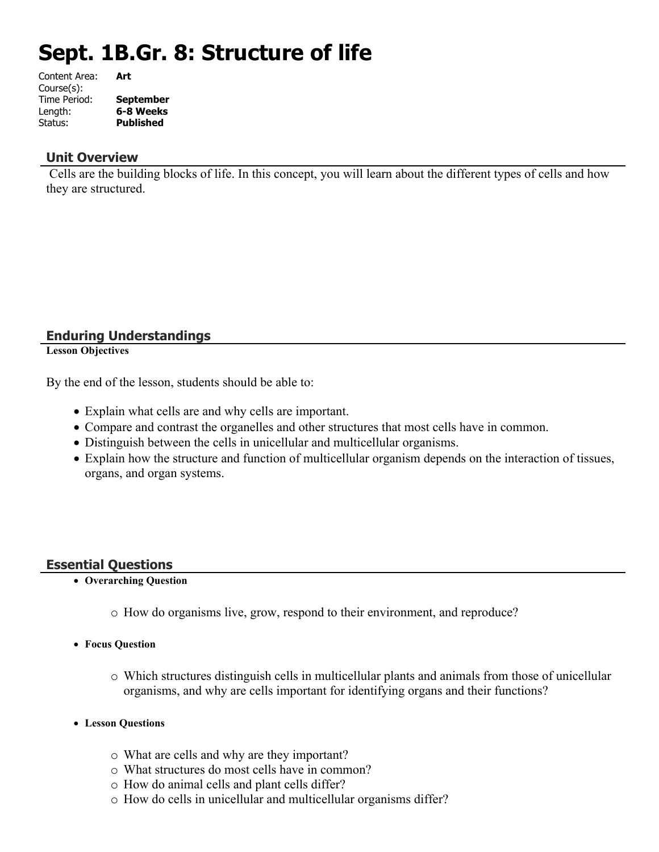# **Sept. 1B.Gr. 8: Structure of life**

| <b>September</b> |
|------------------|
| 6-8 Weeks        |
| Published        |
|                  |

# **Unit Overview**

 Cells are the building blocks of life. In this concept, you will learn about the different types of cells and how they are structured.

# **Enduring Understandings**

**Lesson Objectives**

By the end of the lesson, students should be able to:

- Explain what cells are and why cells are important.
- Compare and contrast the organelles and other structures that most cells have in common.
- Distinguish between the cells in unicellular and multicellular organisms.
- Explain how the structure and function of multicellular organism depends on the interaction of tissues, organs, and organ systems.

# **Essential Questions**

- **Overarching Question**
	- o How do organisms live, grow, respond to their environment, and reproduce?
- **Focus Question**
	- o Which structures distinguish cells in multicellular plants and animals from those of unicellular organisms, and why are cells important for identifying organs and their functions?
- **Lesson Questions**
	- o What are cells and why are they important?
	- o What structures do most cells have in common?
	- o How do animal cells and plant cells differ?
	- o How do cells in unicellular and multicellular organisms differ?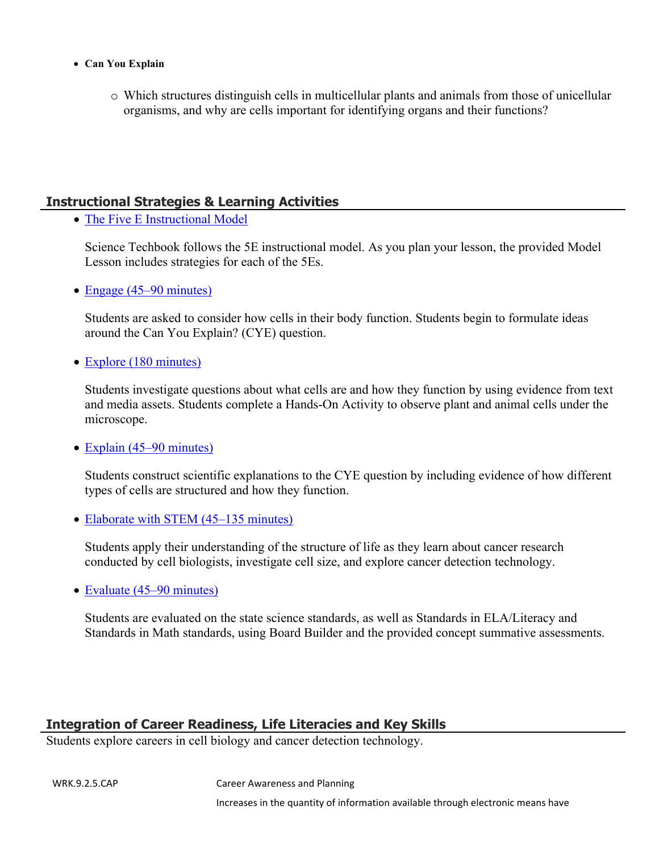- **Can You Explain**
	- o Which structures distinguish cells in multicellular plants and animals from those of unicellular organisms, and why are cells important for identifying organs and their functions?

# **Instructional Strategies & Learning Activities**

• [The Five E Instructional Model](https://app.discoveryeducation.com/learn/techbook/units/3391ad2d-bceb-45dc-a68b-8fd21ab33671/concepts/3fe1d99f-ade7-41b8-8232-49f21459f633/lesson/sections/6287cdb6-e22e-4cf7-a4e4-baad556e0ab8#17945f29-a8e4-457b-800e-9941859e7540)

Science Techbook follows the 5E instructional model. As you plan your lesson, the provided Model Lesson includes strategies for each of the 5Es.

• [Engage \(45–90 minutes\)](https://app.discoveryeducation.com/learn/techbook/units/3391ad2d-bceb-45dc-a68b-8fd21ab33671/concepts/3fe1d99f-ade7-41b8-8232-49f21459f633/lesson/sections/6287cdb6-e22e-4cf7-a4e4-baad556e0ab8#c1aeb4d8-59a1-40c8-8b2e-f8fcbf8496aa)

Students are asked to consider how cells in their body function. Students begin to formulate ideas around the Can You Explain? (CYE) question.

• [Explore \(180 minutes\)](https://app.discoveryeducation.com/learn/techbook/units/3391ad2d-bceb-45dc-a68b-8fd21ab33671/concepts/3fe1d99f-ade7-41b8-8232-49f21459f633/lesson/sections/6287cdb6-e22e-4cf7-a4e4-baad556e0ab8#b21a1063-1685-4987-a19b-d1e11fd53ce4)

Students investigate questions about what cells are and how they function by using evidence from text and media assets. Students complete a Hands-On Activity to observe plant and animal cells under the microscope.

• [Explain \(45–90 minutes\)](https://app.discoveryeducation.com/learn/techbook/units/3391ad2d-bceb-45dc-a68b-8fd21ab33671/concepts/3fe1d99f-ade7-41b8-8232-49f21459f633/lesson/sections/6287cdb6-e22e-4cf7-a4e4-baad556e0ab8#af3f2765-b4a4-4cdc-bf1e-0e0b133a5b9b)

Students construct scientific explanations to the CYE question by including evidence of how different types of cells are structured and how they function.

• [Elaborate with STEM \(45–135 minutes\)](https://app.discoveryeducation.com/learn/techbook/units/3391ad2d-bceb-45dc-a68b-8fd21ab33671/concepts/3fe1d99f-ade7-41b8-8232-49f21459f633/lesson/sections/6287cdb6-e22e-4cf7-a4e4-baad556e0ab8#739adfa5-44ca-46e3-8e51-081dbc76898f)

Students apply their understanding of the structure of life as they learn about cancer research conducted by cell biologists, investigate cell size, and explore cancer detection technology.

• [Evaluate \(45–90 minutes\)](https://app.discoveryeducation.com/learn/techbook/units/3391ad2d-bceb-45dc-a68b-8fd21ab33671/concepts/3fe1d99f-ade7-41b8-8232-49f21459f633/lesson/sections/6287cdb6-e22e-4cf7-a4e4-baad556e0ab8#3d221eeb-66c2-4c4f-8ab2-78d18abeeb64)

Students are evaluated on the state science standards, as well as Standards in ELA/Literacy and Standards in Math standards, using Board Builder and the provided concept summative assessments.

# **Integration of Career Readiness, Life Literacies and Key Skills**

Students explore careers in cell biology and cancer detection technology.

WRK.9.2.5.CAP Career Awareness and Planning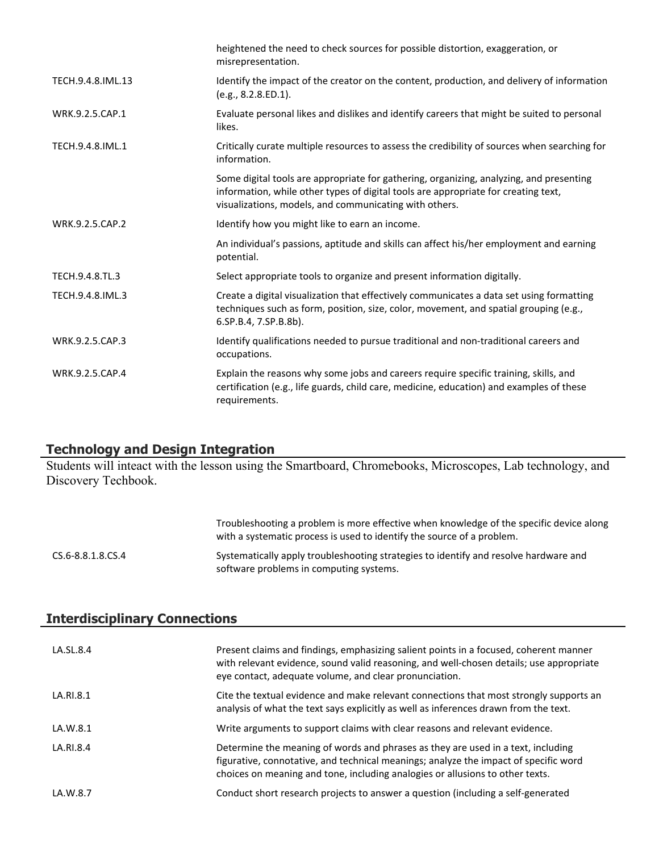|                   | heightened the need to check sources for possible distortion, exaggeration, or<br>misrepresentation.                                                                                                                                    |
|-------------------|-----------------------------------------------------------------------------------------------------------------------------------------------------------------------------------------------------------------------------------------|
| TECH.9.4.8.IML.13 | Identify the impact of the creator on the content, production, and delivery of information<br>(e.g., 8.2.8.ED.1).                                                                                                                       |
| WRK.9.2.5.CAP.1   | Evaluate personal likes and dislikes and identify careers that might be suited to personal<br>likes.                                                                                                                                    |
| TECH.9.4.8.IML.1  | Critically curate multiple resources to assess the credibility of sources when searching for<br>information.                                                                                                                            |
|                   | Some digital tools are appropriate for gathering, organizing, analyzing, and presenting<br>information, while other types of digital tools are appropriate for creating text,<br>visualizations, models, and communicating with others. |
| WRK.9.2.5.CAP.2   | Identify how you might like to earn an income.                                                                                                                                                                                          |
|                   | An individual's passions, aptitude and skills can affect his/her employment and earning<br>potential.                                                                                                                                   |
| TECH.9.4.8.TL.3   | Select appropriate tools to organize and present information digitally.                                                                                                                                                                 |
| TECH.9.4.8.IML.3  | Create a digital visualization that effectively communicates a data set using formatting<br>techniques such as form, position, size, color, movement, and spatial grouping (e.g.,<br>6.SP.B.4, 7.SP.B.8b).                              |
| WRK.9.2.5.CAP.3   | Identify qualifications needed to pursue traditional and non-traditional careers and<br>occupations.                                                                                                                                    |
| WRK.9.2.5.CAP.4   | Explain the reasons why some jobs and careers require specific training, skills, and<br>certification (e.g., life guards, child care, medicine, education) and examples of these<br>requirements.                                       |

#### **Technology and Design Integration**

Students will inteact with the lesson using the Smartboard, Chromebooks, Microscopes, Lab technology, and Discovery Techbook.

|                   | Troubleshooting a problem is more effective when knowledge of the specific device along<br>with a systematic process is used to identify the source of a problem. |
|-------------------|-------------------------------------------------------------------------------------------------------------------------------------------------------------------|
| CS.6-8.8.1.8.CS.4 | Systematically apply troubleshooting strategies to identify and resolve hardware and<br>software problems in computing systems.                                   |

| <b>Interdisciplinary Connections</b> |
|--------------------------------------|
|--------------------------------------|

| LA.SL.8.4 | Present claims and findings, emphasizing salient points in a focused, coherent manner<br>with relevant evidence, sound valid reasoning, and well-chosen details; use appropriate<br>eye contact, adequate volume, and clear pronunciation.                |
|-----------|-----------------------------------------------------------------------------------------------------------------------------------------------------------------------------------------------------------------------------------------------------------|
| LA.RI.8.1 | Cite the textual evidence and make relevant connections that most strongly supports an<br>analysis of what the text says explicitly as well as inferences drawn from the text.                                                                            |
| LA.W.8.1  | Write arguments to support claims with clear reasons and relevant evidence.                                                                                                                                                                               |
| LA.RI.8.4 | Determine the meaning of words and phrases as they are used in a text, including<br>figurative, connotative, and technical meanings; analyze the impact of specific word<br>choices on meaning and tone, including analogies or allusions to other texts. |
| LA.W.8.7  | Conduct short research projects to answer a question (including a self-generated                                                                                                                                                                          |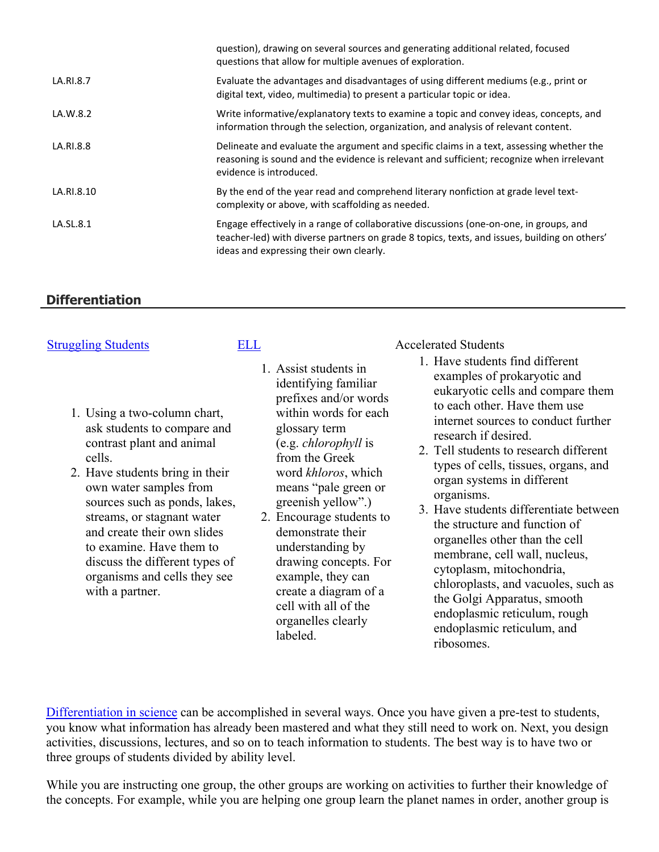| question), drawing on several sources and generating additional related, focused<br>questions that allow for multiple avenues of exploration.                                                                                     |
|-----------------------------------------------------------------------------------------------------------------------------------------------------------------------------------------------------------------------------------|
| Evaluate the advantages and disadvantages of using different mediums (e.g., print or<br>digital text, video, multimedia) to present a particular topic or idea.                                                                   |
| Write informative/explanatory texts to examine a topic and convey ideas, concepts, and<br>information through the selection, organization, and analysis of relevant content.                                                      |
| Delineate and evaluate the argument and specific claims in a text, assessing whether the<br>reasoning is sound and the evidence is relevant and sufficient; recognize when irrelevant<br>evidence is introduced.                  |
| By the end of the year read and comprehend literary nonfiction at grade level text-<br>complexity or above, with scaffolding as needed.                                                                                           |
| Engage effectively in a range of collaborative discussions (one-on-one, in groups, and<br>teacher-led) with diverse partners on grade 8 topics, texts, and issues, building on others'<br>ideas and expressing their own clearly. |
|                                                                                                                                                                                                                                   |

# **Differentiation**

- 1. Using a two-column chart, ask students to compare and contrast plant and animal cells.
- 2. Have students bring in their own water samples from sources such as ponds, lakes, streams, or stagnant water and create their own slides to examine. Have them to discuss the different types of organisms and cells they see with a partner.
- identifying familiar prefixes and/or words within words for each glossary term (e.g. *chlorophyll* is from the Greek word *khloros*, which means "pale green or greenish yellow".)

1. Assist students in

2. Encourage students to demonstrate their understanding by drawing concepts. For example, they can create a diagram of a cell with all of the organelles clearly labeled.

[Struggling Students](https://app.discoveryeducation.com/player/view/assetGuid/4995767F-D634-40C6-B25B-BDEA06E14F90) [ELL](https://app.discoveryeducation.com/player/view/assetGuid/D727DF69-B79B-4A92-AA1F-CE23C74D98D9) Accelerated Students

- 1. Have students find different examples of prokaryotic and eukaryotic cells and compare them to each other. Have them use internet sources to conduct further research if desired.
- 2. Tell students to research different types of cells, tissues, organs, and organ systems in different organisms.
- 3. Have students differentiate between the structure and function of organelles other than the cell membrane, cell wall, nucleus, cytoplasm, mitochondria, chloroplasts, and vacuoles, such as the Golgi Apparatus, smooth endoplasmic reticulum, rough endoplasmic reticulum, and ribosomes.

[Differentiation in science](http://www.brighthubeducation.com/teaching-gifted-students/65181-differentiation-techniques-and-activities-in-the-classroom-for-gifted-students/) can be accomplished in several ways. Once you have given a pre-test to students, you know what information has already been mastered and what they still need to work on. Next, you design activities, discussions, lectures, and so on to teach information to students. The best way is to have two or three groups of students divided by ability level.

While you are instructing one group, the other groups are working on activities to further their knowledge of the concepts. For example, while you are helping one group learn the planet names in order, another group is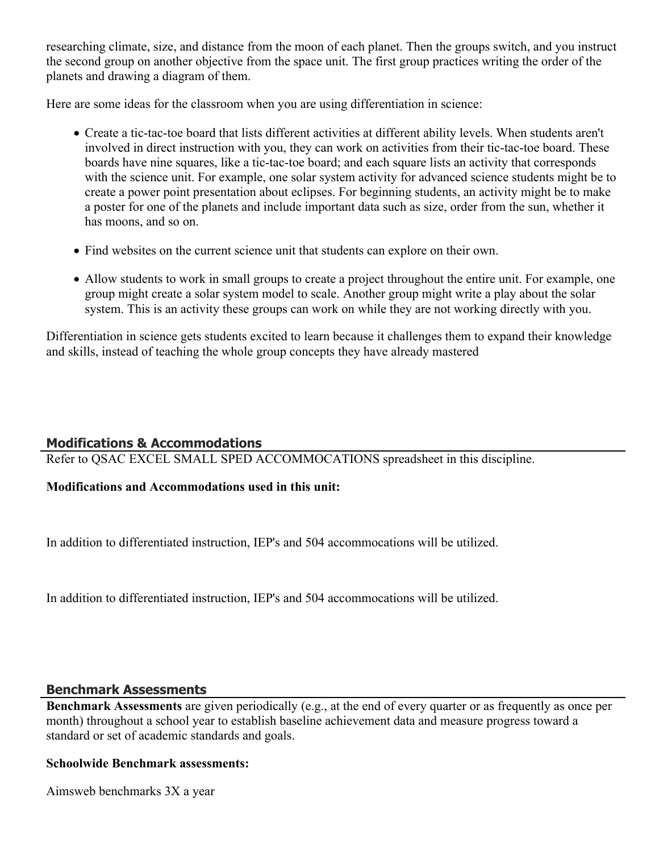researching climate, size, and distance from the moon of each planet. Then the groups switch, and you instruct the second group on another objective from the space unit. The first group practices writing the order of the planets and drawing a diagram of them.

Here are some ideas for the classroom when you are using differentiation in science:

- Create a tic-tac-toe board that lists different activities at different ability levels. When students aren't involved in direct instruction with you, they can work on activities from their tic-tac-toe board. These boards have nine squares, like a tic-tac-toe board; and each square lists an activity that corresponds with the science unit. For example, one solar system activity for advanced science students might be to create a power point presentation about eclipses. For beginning students, an activity might be to make a poster for one of the planets and include important data such as size, order from the sun, whether it has moons, and so on.
- Find websites on the current science unit that students can explore on their own.
- Allow students to work in small groups to create a project throughout the entire unit. For example, one group might create a solar system model to scale. Another group might write a play about the solar system. This is an activity these groups can work on while they are not working directly with you.

Differentiation in science gets students excited to learn because it challenges them to expand their knowledge and skills, instead of teaching the whole group concepts they have already mastered

# **Modifications & Accommodations**

Refer to QSAC EXCEL SMALL SPED ACCOMMOCATIONS spreadsheet in this discipline.

# **Modifications and Accommodations used in this unit:**

In addition to differentiated instruction, IEP's and 504 accommocations will be utilized.

In addition to differentiated instruction, IEP's and 504 accommocations will be utilized.

# **Benchmark Assessments**

**Benchmark Assessments** are given periodically (e.g., at the end of every quarter or as frequently as once per month) throughout a school year to establish baseline achievement data and measure progress toward a standard or set of academic standards and goals.

# **Schoolwide Benchmark assessments:**

Aimsweb benchmarks 3X a year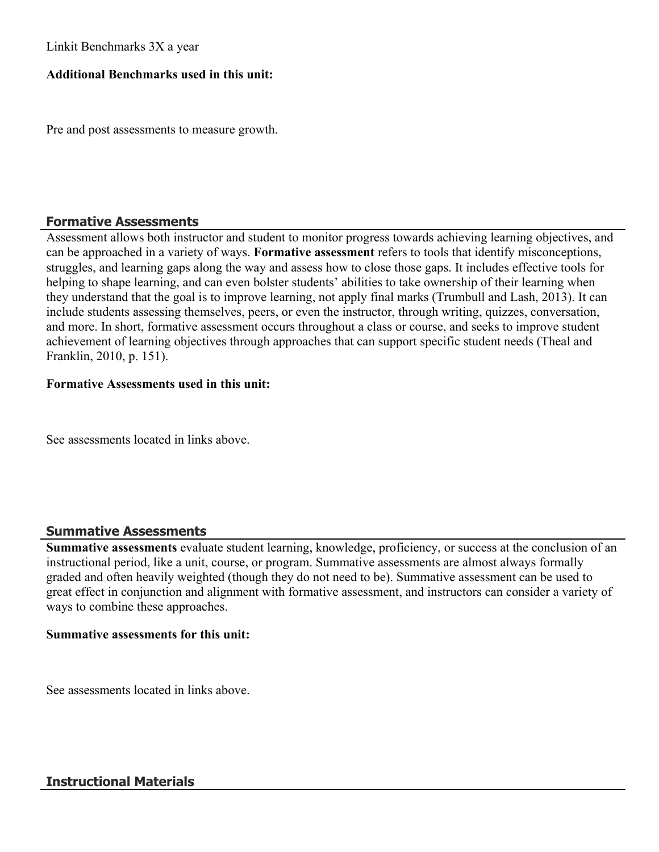## Linkit Benchmarks 3X a year

# **Additional Benchmarks used in this unit:**

Pre and post assessments to measure growth.

## **Formative Assessments**

Assessment allows both instructor and student to monitor progress towards achieving learning objectives, and can be approached in a variety of ways. **Formative assessment** refers to tools that identify misconceptions, struggles, and learning gaps along the way and assess how to close those gaps. It includes effective tools for helping to shape learning, and can even bolster students' abilities to take ownership of their learning when they understand that the goal is to improve learning, not apply final marks (Trumbull and Lash, 2013). It can include students assessing themselves, peers, or even the instructor, through writing, quizzes, conversation, and more. In short, formative assessment occurs throughout a class or course, and seeks to improve student achievement of learning objectives through approaches that can support specific student needs (Theal and Franklin, 2010, p. 151).

#### **Formative Assessments used in this unit:**

See assessments located in links above.

# **Summative Assessments**

**Summative assessments** evaluate student learning, knowledge, proficiency, or success at the conclusion of an instructional period, like a unit, course, or program. Summative assessments are almost always formally graded and often heavily weighted (though they do not need to be). Summative assessment can be used to great effect in conjunction and alignment with formative assessment, and instructors can consider a variety of ways to combine these approaches.

#### **Summative assessments for this unit:**

See assessments located in links above.